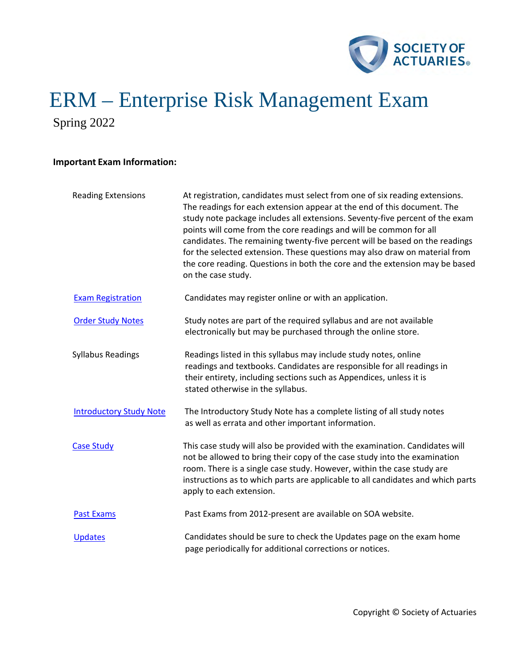

Spring 2022

# **Important Exam Information:**

| <b>Reading Extensions</b>      | At registration, candidates must select from one of six reading extensions.<br>The readings for each extension appear at the end of this document. The<br>study note package includes all extensions. Seventy-five percent of the exam<br>points will come from the core readings and will be common for all<br>candidates. The remaining twenty-five percent will be based on the readings<br>for the selected extension. These questions may also draw on material from<br>the core reading. Questions in both the core and the extension may be based<br>on the case study. |
|--------------------------------|--------------------------------------------------------------------------------------------------------------------------------------------------------------------------------------------------------------------------------------------------------------------------------------------------------------------------------------------------------------------------------------------------------------------------------------------------------------------------------------------------------------------------------------------------------------------------------|
| <b>Exam Registration</b>       | Candidates may register online or with an application.                                                                                                                                                                                                                                                                                                                                                                                                                                                                                                                         |
| <b>Order Study Notes</b>       | Study notes are part of the required syllabus and are not available<br>electronically but may be purchased through the online store.                                                                                                                                                                                                                                                                                                                                                                                                                                           |
| <b>Syllabus Readings</b>       | Readings listed in this syllabus may include study notes, online<br>readings and textbooks. Candidates are responsible for all readings in<br>their entirety, including sections such as Appendices, unless it is<br>stated otherwise in the syllabus.                                                                                                                                                                                                                                                                                                                         |
| <b>Introductory Study Note</b> | The Introductory Study Note has a complete listing of all study notes<br>as well as errata and other important information.                                                                                                                                                                                                                                                                                                                                                                                                                                                    |
| <b>Case Study</b>              | This case study will also be provided with the examination. Candidates will<br>not be allowed to bring their copy of the case study into the examination<br>room. There is a single case study. However, within the case study are<br>instructions as to which parts are applicable to all candidates and which parts<br>apply to each extension.                                                                                                                                                                                                                              |
| <b>Past Exams</b>              | Past Exams from 2012-present are available on SOA website.                                                                                                                                                                                                                                                                                                                                                                                                                                                                                                                     |
| <b>Updates</b>                 | Candidates should be sure to check the Updates page on the exam home<br>page periodically for additional corrections or notices.                                                                                                                                                                                                                                                                                                                                                                                                                                               |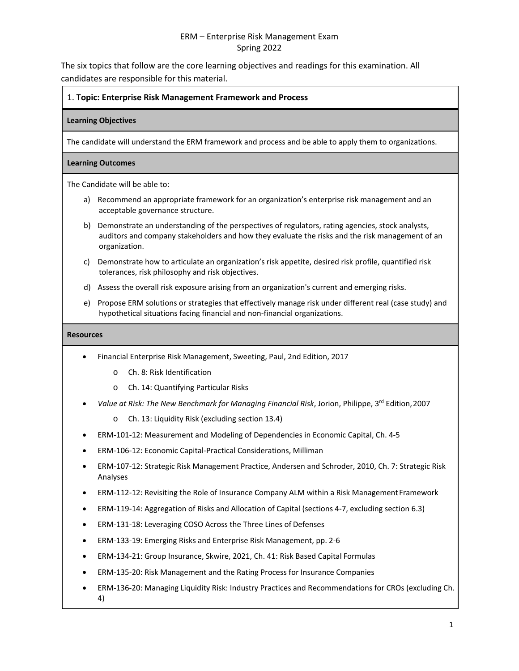The six topics that follow are the core learning objectives and readings for this examination. All candidates are responsible for this material.

# 1. **Topic: Enterprise Risk Management Framework and Process**

# **Learning Objectives**

The candidate will understand the ERM framework and process and be able to apply them to organizations.

## **Learning Outcomes**

The Candidate will be able to:

- a) Recommend an appropriate framework for an organization's enterprise risk management and an acceptable governance structure.
- b) Demonstrate an understanding of the perspectives of regulators, rating agencies, stock analysts, auditors and company stakeholders and how they evaluate the risks and the risk management of an organization.
- c) Demonstrate how to articulate an organization's risk appetite, desired risk profile, quantified risk tolerances, risk philosophy and risk objectives.
- d) Assess the overall risk exposure arising from an organization's current and emerging risks.
- e) Propose ERM solutions or strategies that effectively manage risk under different real (case study) and hypothetical situations facing financial and non-financial organizations.

- Financial Enterprise Risk Management, Sweeting, Paul, 2nd Edition, 2017
	- o Ch. 8: Risk Identification
	- o Ch. 14: Quantifying Particular Risks
- *Value at Risk: The New Benchmark for Managing Financial Risk*, Jorion, Philippe, 3rd Edition,2007
	- o Ch. 13: Liquidity Risk (excluding section 13.4)
- ERM-101-12: Measurement and Modeling of Dependencies in Economic Capital, Ch. 4-5
- ERM-106-12: Economic Capital-Practical Considerations, Milliman
- ERM-107-12: Strategic Risk Management Practice, Andersen and Schroder, 2010, Ch. 7: Strategic Risk Analyses
- ERM-112-12: Revisiting the Role of Insurance Company ALM within a Risk Management Framework
- ERM-119-14: Aggregation of Risks and Allocation of Capital (sections 4-7, excluding section 6.3)
- ERM-131-18: Leveraging COSO Across the Three Lines of Defenses
- ERM-133-19: Emerging Risks and Enterprise Risk Management, pp. 2-6
- ERM-134-21: Group Insurance, Skwire, 2021, Ch. 41: Risk Based Capital Formulas
- ERM-135-20: Risk Management and the Rating Process for Insurance Companies
- ERM-136-20: Managing Liquidity Risk: Industry Practices and Recommendations for CROs (excluding Ch. 4)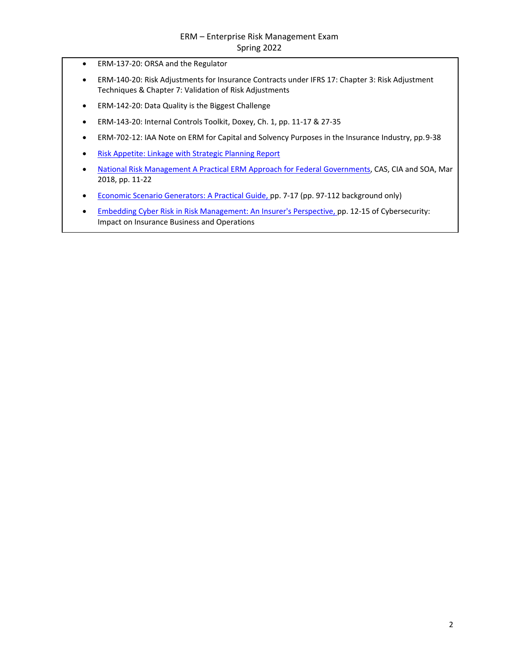- ERM-137-20: ORSA and the Regulator
- ERM-140-20: Risk Adjustments for Insurance Contracts under IFRS 17: Chapter 3: Risk Adjustment Techniques & Chapter 7: Validation of Risk Adjustments
- ERM-142-20: Data Quality is the Biggest Challenge
- ERM-143-20: Internal Controls Toolkit, Doxey, Ch. 1, pp. 11-17 & 27-35
- ERM-702-12: IAA Note on ERM for Capital and Solvency Purposes in the Insurance Industry, pp. 9-38
- [Risk Appetite: Linkage with Strategic Planning Report](http://www.soa.org/globalassets/assets/Files/Research/Projects/research-risk-app-link-report.pdf)
- [National Risk Management A Practical ERM Approach for Federal Governments,](https://www.soa.org/globalassets/assets/files/resources/research-report/2018/national-risk-management.pdf) CAS, CIA and SOA, Mar 2018, pp. 11-22
- [Economic Scenario Generators: A Practical Guide, p](https://www.soa.org/globalassets/assets/Files/Research/Projects/research-2016-economic-scenario-generators.pdf)p. 7-17 (pp. 97-112 background only)
- [Embedding Cyber Risk in Risk Management: An Insurer's Perspective, p](https://www.soa.org/globalassets/assets/files/static-pages/sections/joint-risk-mgmt/cyber-security-impact.pdf)p. 12-15 of Cybersecurity: Impact on Insurance Business and Operations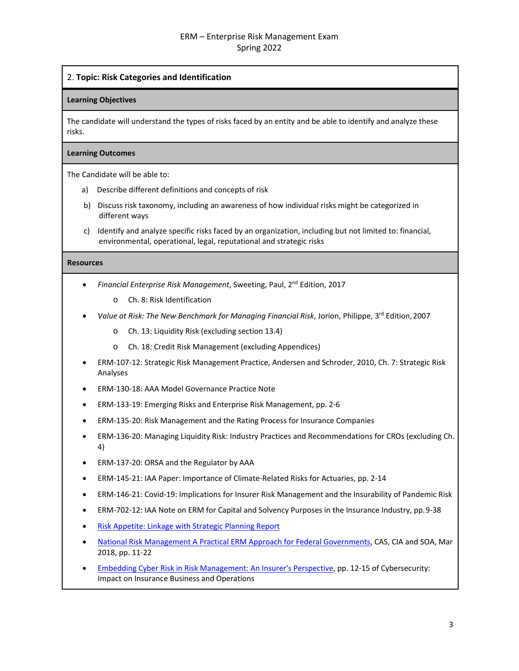# 2. **Topic: Risk Categories and Identification**

#### **Learning Objectives**

The candidate will understand the types of risks faced by an entity and be able to identify and analyze these risks.

#### **Learning Outcomes**

The Candidate will be able to:

- a) Describe different definitions and concepts of risk
- b) Discuss risk taxonomy, including an awareness of how individual risks might be categorized in different ways
- c) Identify and analyze specific risks faced by an organization, including but not limited to: financial, environmental, operational, legal, reputational and strategic risks

- *Financial Enterprise Risk Management*, Sweeting, Paul, 2nd Edition, 2017
	- o Ch. 8: Risk Identification
- *Value at Risk: The New Benchmark for Managing Financial Risk*, Jorion, Philippe, 3rd Edition,2007
	- o Ch. 13: Liquidity Risk (excluding section 13.4)
	- o Ch. 18: Credit Risk Management (excluding Appendices)
- ERM-107-12: Strategic Risk Management Practice, Andersen and Schroder, 2010, Ch. 7: Strategic Risk Analyses
- ERM-130-18: AAA Model Governance Practice Note
- ERM-133-19: Emerging Risks and Enterprise Risk Management, pp. 2-6
- ERM-135-20: Risk Management and the Rating Process for Insurance Companies
- ERM-136-20: Managing Liquidity Risk: Industry Practices and Recommendations for CROs (excluding Ch. 4)
- ERM-137-20: ORSA and the Regulator by AAA
- ERM-145-21: IAA Paper: Importance of Climate-Related Risks for Actuaries, pp. 2-14
- ERM-146-21: Covid-19: Implications for Insurer Risk Management and the Insurability of Pandemic Risk
- ERM-702-12: IAA Note on ERM for Capital and Solvency Purposes in the Insurance Industry, pp. 9-38
- [Risk Appetite: Linkage with Strategic Planning](http://www.soa.org/globalassets/assets/Files/Research/Projects/research-risk-app-link-report.pdf) Report
- [National Risk Management A Practical ERM Approach for Federal Governments,](https://www.soa.org/globalassets/assets/files/resources/research-report/2018/national-risk-management.pdf) CAS, CIA and SOA, Mar 2018, pp. 11-22
- [Embedding Cyber Risk in Risk Management: An Insurer's Perspective, p](https://www.soa.org/globalassets/assets/files/static-pages/sections/joint-risk-mgmt/cyber-security-impact.pdf)p. 12-15 of Cybersecurity: Impact on Insurance Business and Operations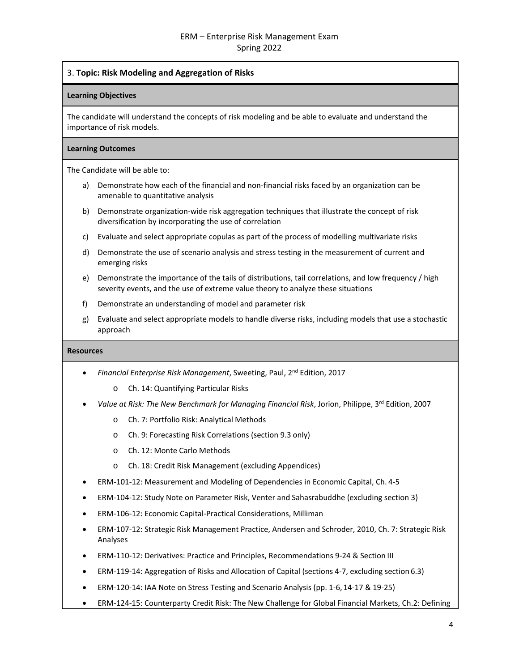# 3. **Topic: Risk Modeling and Aggregation of Risks**

#### **Learning Objectives**

The candidate will understand the concepts of risk modeling and be able to evaluate and understand the importance of risk models.

#### **Learning Outcomes**

The Candidate will be able to:

- a) Demonstrate how each of the financial and non-financial risks faced by an organization can be amenable to quantitative analysis
- b) Demonstrate organization-wide risk aggregation techniques that illustrate the concept of risk diversification by incorporating the use of correlation
- c) Evaluate and select appropriate copulas as part of the process of modelling multivariate risks
- d) Demonstrate the use of scenario analysis and stress testing in the measurement of current and emerging risks
- e) Demonstrate the importance of the tails of distributions, tail correlations, and low frequency / high severity events, and the use of extreme value theory to analyze these situations
- f) Demonstrate an understanding of model and parameter risk
- g) Evaluate and select appropriate models to handle diverse risks, including models that use a stochastic approach

- *Financial Enterprise Risk Management*, Sweeting, Paul, 2nd Edition, 2017
	- o Ch. 14: Quantifying Particular Risks
- *Value at Risk: The New Benchmark for Managing Financial Risk*, Jorion, Philippe, 3rd Edition, 2007
	- o Ch. 7: Portfolio Risk: Analytical Methods
	- o Ch. 9: Forecasting Risk Correlations (section 9.3 only)
	- o Ch. 12: Monte Carlo Methods
	- o Ch. 18: Credit Risk Management (excluding Appendices)
- ERM-101-12: Measurement and Modeling of Dependencies in Economic Capital, Ch. 4-5
- ERM-104-12: Study Note on Parameter Risk, Venter and Sahasrabuddhe (excluding section 3)
- ERM-106-12: Economic Capital-Practical Considerations, Milliman
- ERM-107-12: Strategic Risk Management Practice, Andersen and Schroder, 2010, Ch. 7: Strategic Risk Analyses
- ERM-110-12: Derivatives: Practice and Principles, Recommendations 9-24 & Section III
- ERM-119-14: Aggregation of Risks and Allocation of Capital (sections 4-7, excluding section 6.3)
- ERM-120-14: IAA Note on Stress Testing and Scenario Analysis (pp. 1-6, 14-17 & 19-25)
- ERM-124-15: Counterparty Credit Risk: The New Challenge for Global Financial Markets, Ch.2: Defining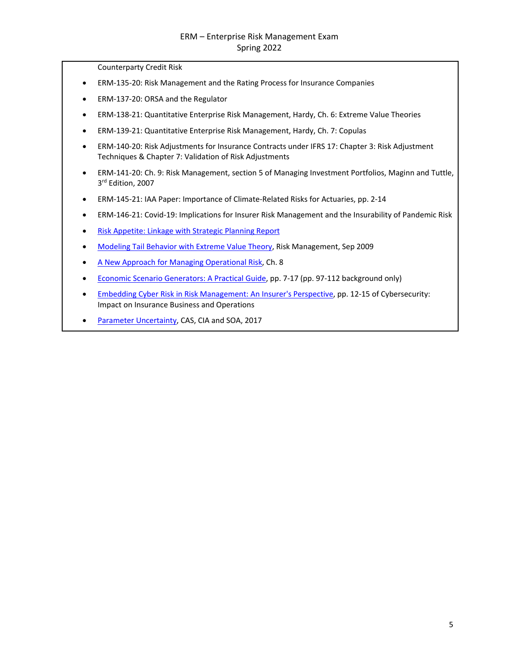Counterparty Credit Risk

- ERM-135-20: Risk Management and the Rating Process for Insurance Companies
- ERM-137-20: ORSA and the Regulator
- ERM-138-21: Quantitative Enterprise Risk Management, Hardy, Ch. 6: Extreme Value Theories
- ERM-139-21: Quantitative Enterprise Risk Management, Hardy, Ch. 7: Copulas
- ERM-140-20: Risk Adjustments for Insurance Contracts under IFRS 17: Chapter 3: Risk Adjustment Techniques & Chapter 7: Validation of Risk Adjustments
- ERM-141-20: Ch. 9: Risk Management, section 5 of Managing Investment Portfolios, Maginn and Tuttle, 3rd Edition, 2007
- ERM-145-21: IAA Paper: Importance of Climate-Related Risks for Actuaries, pp. 2-14
- ERM-146-21: Covid-19: Implications for Insurer Risk Management and the Insurability of Pandemic Risk
- [Risk Appetite: Linkage with Strategic Planning](http://www.soa.org/globalassets/assets/Files/Research/Projects/research-risk-app-link-report.pdf) Report
- [Modeling Tail Behavior with Extreme Value Theory, R](https://www.soa.org/globalassets/assets/library/newsletters/risk-management-newsletter/2009/september/jrm-2009-iss17.pdf)isk Management, Sep 2009
- [A New Approach for Managing Operational Risk, C](https://www.soa.org/globalassets/assets/Files/Research/Projects/research-new-approach.pdf)h. 8
- [Economic Scenario Generators: A Practical Guide, p](https://www.soa.org/globalassets/assets/Files/Research/Projects/research-2016-economic-scenario-generators.pdf)p. 7-17 (pp. 97-112 background only)
- [Embedding Cyber Risk in Risk Management: An Insurer's Perspective, p](https://www.soa.org/globalassets/assets/files/static-pages/sections/joint-risk-mgmt/cyber-security-impact.pdf)p. 12-15 of Cybersecurity: Impact on Insurance Business and Operations
- [Parameter Uncertainty,](https://www.soa.org/globalassets/assets/files/research/parameter-uncertainty.pdf) CAS, CIA and SOA, 2017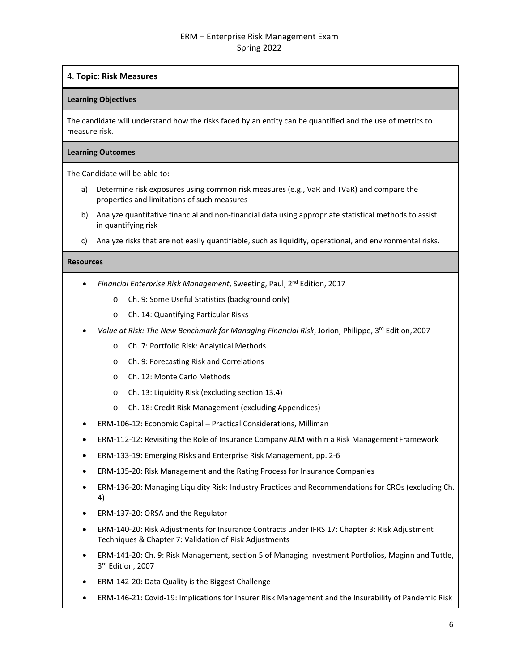# 4. **Topic: Risk Measures**

## **Learning Objectives**

The candidate will understand how the risks faced by an entity can be quantified and the use of metrics to measure risk.

#### **Learning Outcomes**

The Candidate will be able to:

- a) Determine risk exposures using common risk measures (e.g., VaR and TVaR) and compare the properties and limitations of such measures
- b) Analyze quantitative financial and non-financial data using appropriate statistical methods to assist in quantifying risk
- c) Analyze risks that are not easily quantifiable, such as liquidity, operational, and environmental risks.

- *Financial Enterprise Risk Management*, Sweeting, Paul, 2nd Edition, 2017
	- o Ch. 9: Some Useful Statistics (background only)
	- o Ch. 14: Quantifying Particular Risks
- *Value at Risk: The New Benchmark for Managing Financial Risk*, Jorion, Philippe, 3rd Edition,2007
	- o Ch. 7: Portfolio Risk: Analytical Methods
	- o Ch. 9: Forecasting Risk and Correlations
	- o Ch. 12: Monte Carlo Methods
	- o Ch. 13: Liquidity Risk (excluding section 13.4)
	- o Ch. 18: Credit Risk Management (excluding Appendices)
- ERM-106-12: Economic Capital Practical Considerations, Milliman
- ERM-112-12: Revisiting the Role of Insurance Company ALM within a Risk ManagementFramework
- ERM-133-19: Emerging Risks and Enterprise Risk Management, pp. 2-6
- ERM-135-20: Risk Management and the Rating Process for Insurance Companies
- ERM-136-20: Managing Liquidity Risk: Industry Practices and Recommendations for CROs (excluding Ch. 4)
- ERM-137-20: ORSA and the Regulator
- ERM-140-20: Risk Adjustments for Insurance Contracts under IFRS 17: Chapter 3: Risk Adjustment Techniques & Chapter 7: Validation of Risk Adjustments
- ERM-141-20: Ch. 9: Risk Management, section 5 of Managing Investment Portfolios, Maginn and Tuttle, 3<sup>rd</sup> Edition, 2007
- ERM-142-20: Data Quality is the Biggest Challenge
- ERM-146-21: Covid-19: Implications for Insurer Risk Management and the Insurability of Pandemic Risk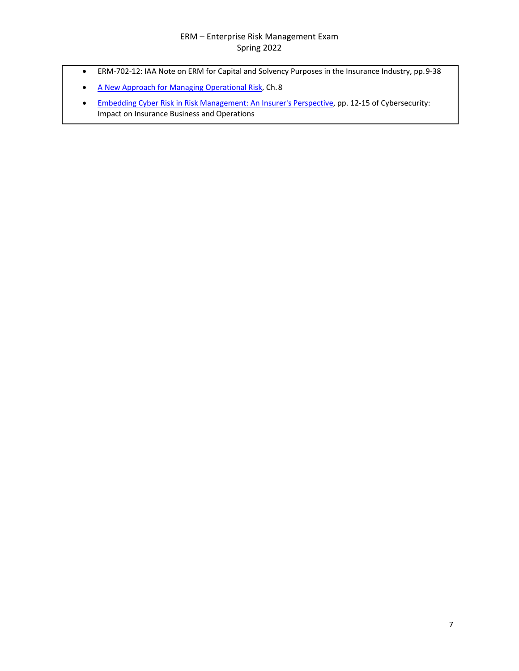- ERM-702-12: IAA Note on ERM for Capital and Solvency Purposes in the Insurance Industry, pp.9-38
- [A New Approach for Managing Operational Risk, C](https://www.soa.org/globalassets/assets/Files/Research/Projects/research-new-approach.pdf)h. 8
- [Embedding Cyber Risk in Risk Management: An Insurer's Perspective, p](https://www.soa.org/globalassets/assets/files/static-pages/sections/joint-risk-mgmt/cyber-security-impact.pdf)p. 12-15 of Cybersecurity: Impact on Insurance Business and Operations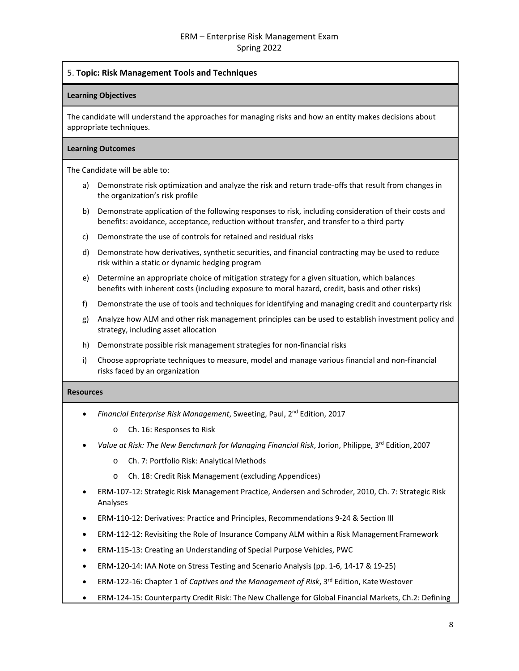## 5. **Topic: Risk Management Tools and Techniques**

#### **Learning Objectives**

The candidate will understand the approaches for managing risks and how an entity makes decisions about appropriate techniques.

#### **Learning Outcomes**

The Candidate will be able to:

- a) Demonstrate risk optimization and analyze the risk and return trade-offs that result from changes in the organization's risk profile
- b) Demonstrate application of the following responses to risk, including consideration of their costs and benefits: avoidance, acceptance, reduction without transfer, and transfer to a third party
- c) Demonstrate the use of controls for retained and residual risks
- d) Demonstrate how derivatives, synthetic securities, and financial contracting may be used to reduce risk within a static or dynamic hedging program
- e) Determine an appropriate choice of mitigation strategy for a given situation, which balances benefits with inherent costs (including exposure to moral hazard, credit, basis and other risks)
- f) Demonstrate the use of tools and techniques for identifying and managing credit and counterparty risk
- g) Analyze how ALM and other risk management principles can be used to establish investment policy and strategy, including asset allocation
- h) Demonstrate possible risk management strategies for non-financial risks
- i) Choose appropriate techniques to measure, model and manage various financial and non-financial risks faced by an organization

- *Financial Enterprise Risk Management*, Sweeting, Paul, 2nd Edition, 2017
	- o Ch. 16: Responses to Risk
- Value at Risk: The New Benchmark for Managing Financial Risk, Jorion, Philippe, 3<sup>rd</sup> Edition, 2007
	- o Ch. 7: Portfolio Risk: Analytical Methods
	- o Ch. 18: Credit Risk Management (excluding Appendices)
- ERM-107-12: Strategic Risk Management Practice, Andersen and Schroder, 2010, Ch. 7: Strategic Risk Analyses
- ERM-110-12: Derivatives: Practice and Principles, Recommendations 9-24 & Section III
- ERM-112-12: Revisiting the Role of Insurance Company ALM within a Risk ManagementFramework
- ERM-115-13: Creating an Understanding of Special Purpose Vehicles, PWC
- ERM-120-14: IAA Note on Stress Testing and Scenario Analysis (pp. 1-6, 14-17 & 19-25)
- ERM-122-16: Chapter 1 of *Captives and the Management of Risk*, 3rd Edition, KateWestover
- ERM-124-15: Counterparty Credit Risk: The New Challenge for Global Financial Markets, Ch.2: Defining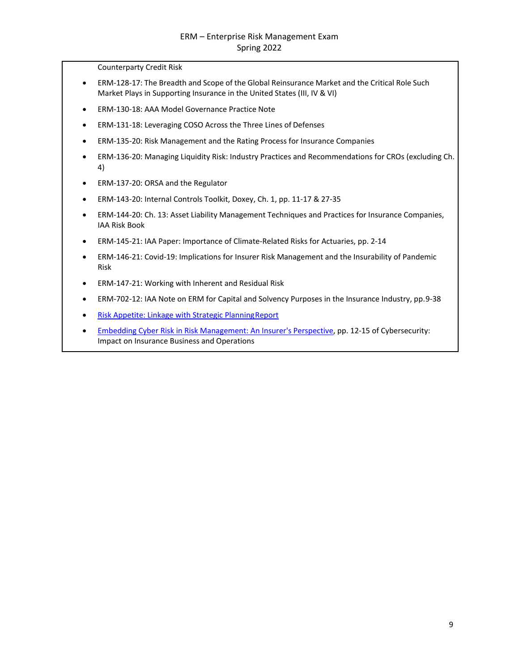Counterparty Credit Risk

- ERM-128-17: The Breadth and Scope of the Global Reinsurance Market and the Critical Role Such Market Plays in Supporting Insurance in the United States (III, IV & VI)
- ERM-130-18: AAA Model Governance Practice Note
- ERM-131-18: Leveraging COSO Across the Three Lines of Defenses
- ERM-135-20: Risk Management and the Rating Process for Insurance Companies
- ERM-136-20: Managing Liquidity Risk: Industry Practices and Recommendations for CROs (excluding Ch. 4)
- ERM-137-20: ORSA and the Regulator
- ERM-143-20: Internal Controls Toolkit, Doxey, Ch. 1, pp. 11-17 & 27-35
- ERM-144-20: Ch. 13: Asset Liability Management Techniques and Practices for Insurance Companies, IAA Risk Book
- ERM-145-21: IAA Paper: Importance of Climate-Related Risks for Actuaries, pp. 2-14
- ERM-146-21: Covid-19: Implications for Insurer Risk Management and the Insurability of Pandemic Risk
- ERM-147-21: Working with Inherent and Residual Risk
- ERM-702-12: IAA Note on ERM for Capital and Solvency Purposes in the Insurance Industry, pp. 9-38
- [Risk Appetite: Linkage with Strategic PlanningReport](https://www.soa.org/globalassets/assets/Files/Research/Projects/research-risk-app-link-report.pdf)
- [Embedding Cyber Risk in Risk Management: An Insurer's Perspective, p](https://www.soa.org/globalassets/assets/files/static-pages/sections/joint-risk-mgmt/cyber-security-impact.pdf)p. 12-15 of Cybersecurity: Impact on Insurance Business and Operations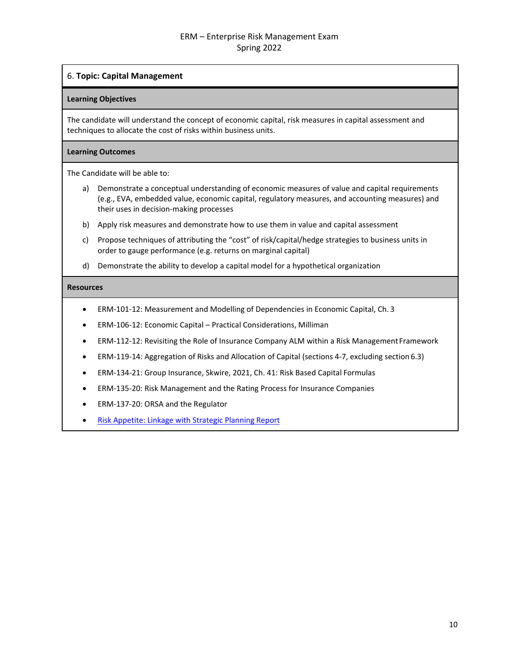## 6. **Topic: Capital Management**

#### **Learning Objectives**

The candidate will understand the concept of economic capital, risk measures in capital assessment and techniques to allocate the cost of risks within business units.

#### **Learning Outcomes**

The Candidate will be able to:

- a) Demonstrate a conceptual understanding of economic measures of value and capital requirements (e.g., EVA, embedded value, economic capital, regulatory measures, and accounting measures) and their uses in decision-making processes
- b) Apply risk measures and demonstrate how to use them in value and capital assessment
- c) Propose techniques of attributing the "cost" of risk/capital/hedge strategies to business units in order to gauge performance (e.g. returns on marginal capital)
- d) Demonstrate the ability to develop a capital model for a hypothetical organization

- ERM-101-12: Measurement and Modelling of Dependencies in Economic Capital, Ch. 3
- ERM-106-12: Economic Capital Practical Considerations, Milliman
- ERM-112-12: Revisiting the Role of Insurance Company ALM within a Risk Management Framework
- ERM-119-14: Aggregation of Risks and Allocation of Capital (sections 4-7, excluding section 6.3)
- ERM-134-21: Group Insurance, Skwire, 2021, Ch. 41: Risk Based Capital Formulas
- ERM-135-20: Risk Management and the Rating Process for Insurance Companies
- ERM-137-20: ORSA and the Regulator
- [Risk Appetite: Linkage with Strategic Planning](https://www.soa.org/globalassets/assets/Files/Research/Projects/research-risk-app-link-report.pdf) Report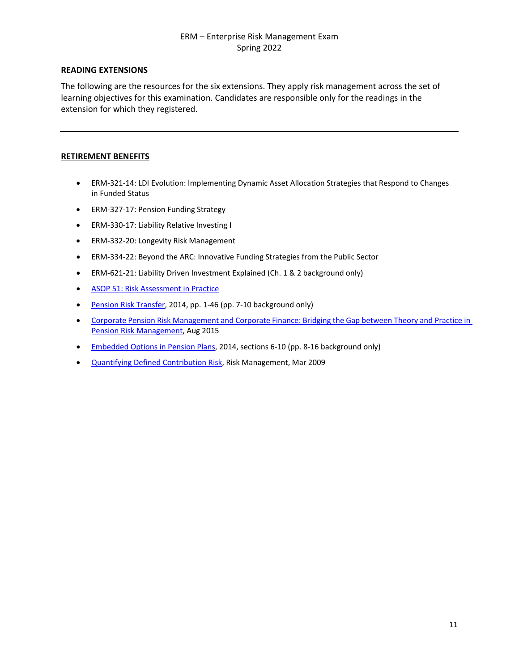# **READING EXTENSIONS**

The following are the resources for the six extensions. They apply risk management across the set of learning objectives for this examination. Candidates are responsible only for the readings in the extension for which they registered.

# **RETIREMENT BENEFITS**

- ERM-321-14: LDI Evolution: Implementing Dynamic Asset Allocation Strategies that Respond to Changes in Funded Status
- ERM-327-17: Pension Funding Strategy
- ERM-330-17: Liability Relative Investing I
- ERM-332-20: Longevity Risk Management
- ERM-334-22: Beyond the ARC: Innovative Funding Strategies from the Public Sector
- ERM-621-21: Liability Driven Investment Explained (Ch. 1 & 2 background only)
- [ASOP 51: Risk Assessment in Practice](https://www.actuary.org/sites/default/files/2020-07/ASOP_51_Practice_Note.pdf)
- [Pension Risk Transfer, 2](https://www.soa.org/globalassets/assets/Files/Research/Projects/2014-pension-risk-transfer-study.pdf)014, pp. 1-46 (pp. 7-10 background only)
- Corporate Pension Risk Management [and Corporate Finance:](https://www.soa.org/globalassets/assets/Files/Research/Projects/research-2015-corporate-pension-risk-management.pdf) Bridging the Gap between Theory and [Practice in](https://www.soa.org/globalassets/assets/Files/Research/Projects/research-2015-corporate-pension-risk-management.pdf)  Pension Risk [Management,](https://www.soa.org/globalassets/assets/Files/Research/Projects/research-2015-corporate-pension-risk-management.pdf) Aug 2015
- [Embedded Options in Pension Plans, 2](https://www.soa.org/globalassets/assets/Files/Research/Projects/research-emb-opt-val-cash-report.pdf)014, sections 6-10 (pp. 8-16 background only)
- [Quantifying Defined Contribution Risk,](https://www.soa.org/globalassets/assets/library/newsletters/risk-management-newsletter/2009/march/jrm-2009-iss15-lalani.pdf) Risk Management, Mar 2009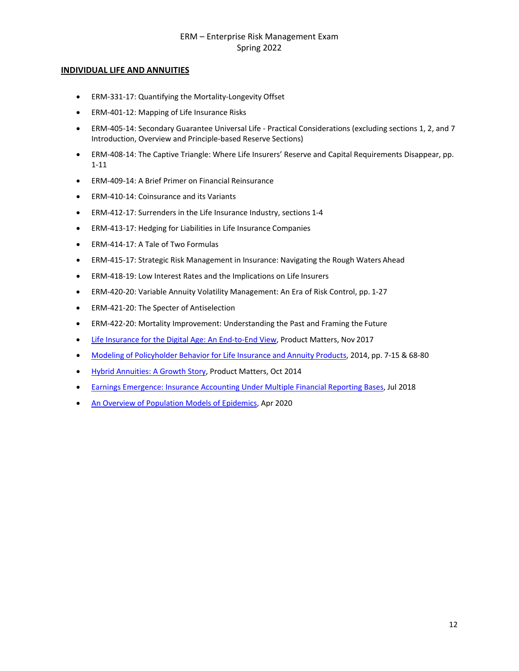## **INDIVIDUAL LIFE AND ANNUITIES**

- ERM-331-17: Quantifying the Mortality-Longevity Offset
- ERM-401-12: Mapping of Life Insurance Risks
- ERM-405-14: Secondary Guarantee Universal Life Practical Considerations (excluding sections 1, 2, and 7 Introduction, Overview and Principle-based Reserve Sections)
- ERM-408-14: The Captive Triangle: Where Life Insurers' Reserve and Capital Requirements Disappear, pp. 1-11
- ERM-409-14: A Brief Primer on Financial Reinsurance
- ERM-410-14: Coinsurance and its Variants
- ERM-412-17: Surrenders in the Life Insurance Industry, sections 1-4
- ERM-413-17: Hedging for Liabilities in Life Insurance Companies
- ERM-414-17: A Tale of Two Formulas
- ERM-415-17: Strategic Risk Management in Insurance: Navigating the Rough Waters Ahead
- ERM-418-19: Low Interest Rates and the Implications on Life Insurers
- ERM-420-20: Variable Annuity Volatility Management: An Era of Risk Control, pp. 1-27
- ERM-421-20: The Specter of Antiselection
- ERM-422-20: Mortality Improvement: Understanding the Past and Framing the Future
- [Life Insurance for the Digital Age: An End-to-End View, P](https://www.soa.org/globalassets/assets/Library/Newsletters/Product-Development-News/2017/november/pro-2017-iss108-nayak-abrokwah.pdf)roduct Matters, Nov 2017
- Modeling of [Policyholder Behavior for Life](https://www.soa.org/globalassets/assets/Files/Research/Projects/research-2014-modeling-policy.pdf) Insurance and Annuity Products, 2014, pp. 7-15 & 68-80
- [Hybrid Annuities: A Growth Story, P](https://www.soa.org/globalassets/assets/Library/Newsletters/Product-Development-News/2014/october/pro-2014-iss90.pdf)roduct Matters, Oct 2014
- **[Earnings Emergence: Insurance Accounting Under Multiple Financial Reporting Bases,](https://www.soa.org/globalassets/assets/files/static-pages/research/topics/earnings-emergence.pdf) Jul 2018**
- [An Overview of Population Models of Epidemics,](https://www.soa.org/globalassets/assets/files/resources/research-report/2020/overview-population-models.pdf) Apr 2020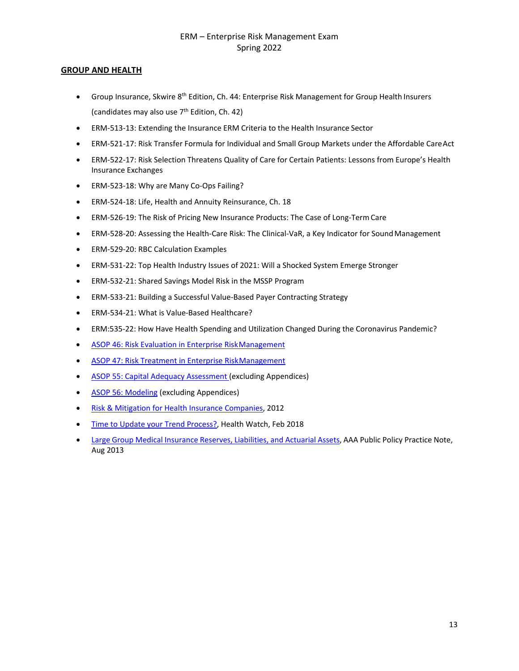## **GROUP AND HEALTH**

- Group Insurance, Skwire  $8^{th}$  Edition, Ch. 44: Enterprise Risk Management for Group Health Insurers (candidates may also use 7<sup>th</sup> Edition, Ch. 42)
- ERM-513-13: Extending the Insurance ERM Criteria to the Health Insurance Sector
- ERM-521-17: Risk Transfer Formula for Individual and Small Group Markets under the Affordable CareAct
- ERM-522-17: Risk Selection Threatens Quality of Care for Certain Patients: Lessons from Europe's Health Insurance Exchanges
- ERM-523-18: Why are Many Co-Ops Failing?
- ERM-524-18: Life, Health and Annuity Reinsurance, Ch. 18
- ERM-526-19: The Risk of Pricing New Insurance Products: The Case of Long-Term Care
- ERM-528-20: Assessing the Health-Care Risk: The Clinical-VaR, a Key Indicator for SoundManagement
- ERM-529-20: RBC Calculation Examples
- ERM-531-22: Top Health Industry Issues of 2021: Will a Shocked System Emerge Stronger
- ERM-532-21: Shared Savings Model Risk in the MSSP Program
- ERM-533-21: Building a Successful Value-Based Payer Contracting Strategy
- ERM-534-21: What is Value-Based Healthcare?
- ERM:535-22: How Have Health Spending and Utilization Changed During the Coronavirus Pandemic?
- [ASOP 46: Risk Evaluation in Enterprise RiskManagement](http://www.actuarialstandardsboard.org/pdf/asop046_165.pdf)
- [ASOP 47: Risk Treatment in Enterprise RiskManagement](http://www.actuarialstandardsboard.org/wp-content/uploads/2014/02/asop047_169.pdf)
- [ASOP 55: Capital Adequacy Assessment](http://www.actuarialstandardsboard.org/wp-content/uploads/2019/06/asop055_194.pdf) (excluding Appendices)
- [ASOP 56: Modeling](http://www.actuarialstandardsboard.org/wp-content/uploads/2020/01/asop056_195.pdf) (excluding Appendices)
- [Risk & Mitigation for Health Insurance](https://www.soa.org/globalassets/assets/Files/Research/Projects/research-2013-soa-health-research.pdf) Companies, 2012
- [Time to Update your Trend Process?,](https://www.soa.org/globalassets/assets/library/newsletters/health-watch-newsletter/2018/february/hsn-2017-iss85-barrett.pdf) Health Watch, Feb 2018
- Large Group Medical Insurance Reserves, [Liabilities, and Actuarial Assets, A](https://www.actuary.org/sites/default/files/files/Large_Group_Medical_Business_Practice_Note_Aug2013.pdf)AA Public Policy Practice Note, Aug 2013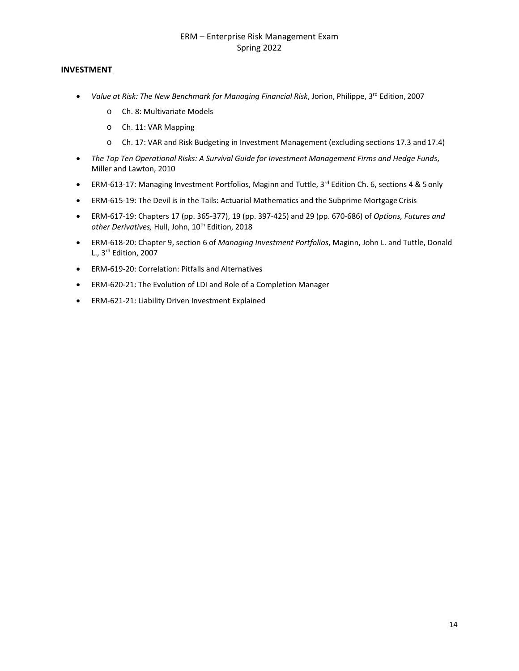# **INVESTMENT**

- *Value at Risk: The New Benchmark for Managing Financial Risk*, Jorion, Philippe, 3rd Edition, 2007
	- o Ch. 8: Multivariate Models
	- o Ch. 11: VAR Mapping
	- o Ch. 17: VAR and Risk Budgeting in Investment Management (excluding sections 17.3 and 17.4)
- *The Top Ten Operational Risks: A Survival Guide for Investment Management Firms and Hedge Funds*, Miller and Lawton, 2010
- ERM-613-17: Managing Investment Portfolios, Maginn and Tuttle, 3<sup>rd</sup> Edition Ch. 6, sections 4 & 5 only
- ERM-615-19: The Devil is in the Tails: Actuarial Mathematics and the Subprime Mortgage Crisis
- ERM-617-19: Chapters 17 (pp. 365-377), 19 (pp. 397-425) and 29 (pp. 670-686) of *Options, Futures and other Derivatives,* Hull, John, 10th Edition, 2018
- ERM-618-20: Chapter 9, section 6 of *Managing Investment Portfolios*, Maginn, John L. and Tuttle, Donald L., 3rd Edition, 2007
- ERM-619-20: Correlation: Pitfalls and Alternatives
- ERM-620-21: The Evolution of LDI and Role of a Completion Manager
- ERM-621-21: Liability Driven Investment Explained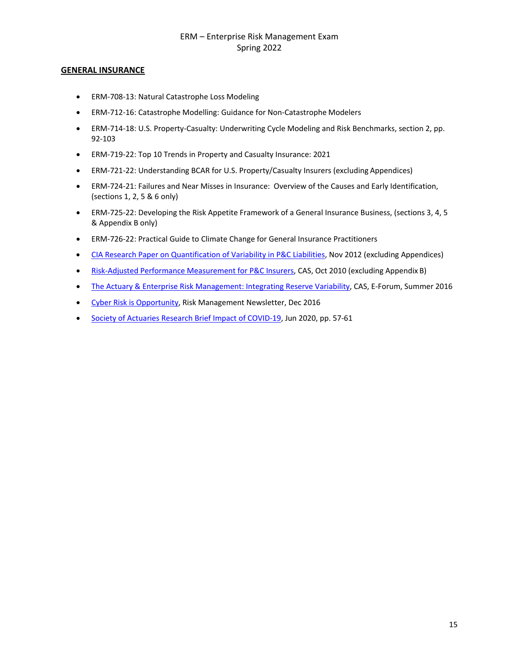# **GENERAL INSURANCE**

- ERM-708-13: Natural Catastrophe Loss Modeling
- ERM-712-16: Catastrophe Modelling: Guidance for Non-Catastrophe Modelers
- ERM-714-18: U.S. Property-Casualty: Underwriting Cycle Modeling and Risk Benchmarks, section 2, pp. 92-103
- ERM-719-22: Top 10 Trends in Property and Casualty Insurance: 2021
- ERM-721-22: Understanding BCAR for U.S. Property/Casualty Insurers (excluding Appendices)
- ERM-724-21: Failures and Near Misses in Insurance: Overview of the Causes and Early Identification, (sections 1, 2, 5 & 6 only)
- ERM-725-22: Developing the Risk Appetite Framework of a General Insurance Business, (sections 3, 4, 5 & Appendix B only)
- ERM-726-22: Practical Guide to Climate Change for General Insurance Practitioners
- [CIA Research Paper on Quantification of Variability in P&C](https://www.cia-ica.ca/docs/default-source/2012/212094e.pdf) Liabilities, Nov 2012 (excluding Appendices)
- [Risk-Adjusted Performance Measurement for P&C Insurers, C](https://www.casact.org/library/studynotes/goldfarb8.2.pdf)AS, Oct 2010 (excluding Appendix B)
- [The Actuary & Enterprise Risk Management: Integrating Reserve Variability,](https://www.casact.org/pubs/forum/16sforum/Shapland-Courchene.pdf) CAS, E-Forum, Summer 2016
- [Cyber Risk is Opportunity,](https://www.soa.org/globalassets/assets/library/newsletters/risk-management-newsletter/2016/december/rm-2016-iss-37-solomon.pdf) Risk Management Newsletter, Dec 2016
- [Society of Actuaries Research Brief Impact of COVID-19,](https://www.soa.org/globalassets/assets/files/resources/research-report/2020/impact-of-covid.pdf) Jun 2020, pp. 57-61